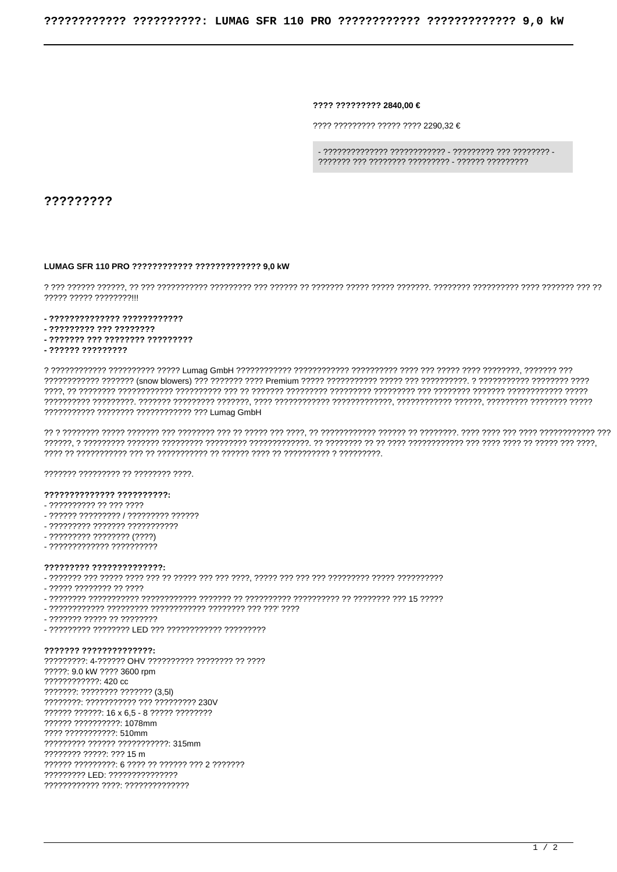???? ????????? 2840.00 €

 $77777777777777777777777772290.32 \in$ 

?????????

## LUMAG SFR 110 PRO ???????????? ????????????? 9,0 kW

77777 77777 77777777111

- 22222222222222 222222222222

- ????????? ??? ????????
- ??????? ??? ???????? ?????????
- ?????? ?????????

??????????? ??????? ???????????? ??? Lumag GmbH

7777777 777777777 77 77777777 7777.

## 

- ?????????? ?? ??? ????
- ?????? ????????? / ????????? ??????
- ????????? ??????? ???????????
- ????????? ???????? (????)
- ????????????? ??????????

## ????????? ??????????????

- 22222 22222222 22 2222

- 
- 
- ??????? ????? ?? ????????
- ????????? ???????? LED ??? ??????????? ?????????

??????? ?????????????? ?????????: 4-?????? OHV ?????????? ???????? ?? ???? ?????: 9.0 kW ???? 3600 rpm  $22222222222 \cdot 420$  cc ???????: ???????? ??????? (3,5l) ????????: ??????????? ??? ????????? 230V ?????? ??????: 16 x 6.5 - 8 ????? ????????? ?????? ??????????: 1078mm 2222 22222222222: 510mm ????????? ?????? ???????????? 315mm ???????? ?????: ??? 15 m 777777 7777777772: 6 7777 77 777777 777 2 7777777 ????????? LED: ??????????????? ???????????? ????: ??????????????